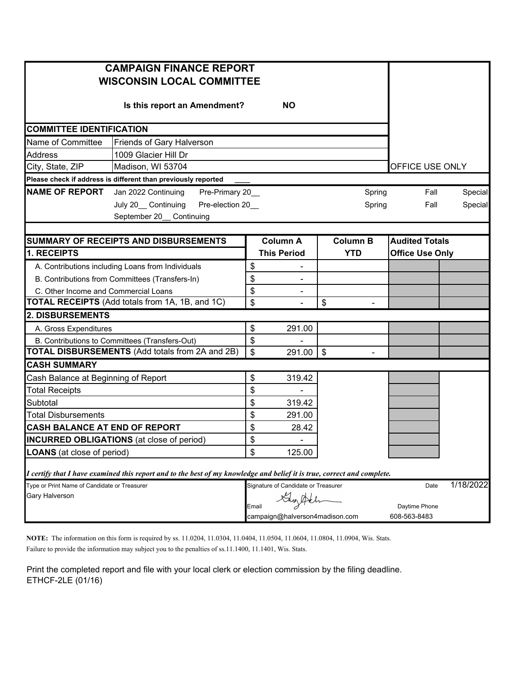| <b>CAMPAIGN FINANCE REPORT</b><br><b>WISCONSIN LOCAL COMMITTEE</b> |                                                                                                                         |    |                                     |        |                 |                        |               |         |  |
|--------------------------------------------------------------------|-------------------------------------------------------------------------------------------------------------------------|----|-------------------------------------|--------|-----------------|------------------------|---------------|---------|--|
|                                                                    | Is this report an Amendment?                                                                                            |    | <b>NO</b>                           |        |                 |                        |               |         |  |
| <b>COMMITTEE IDENTIFICATION</b>                                    |                                                                                                                         |    |                                     |        |                 |                        |               |         |  |
| Name of Committee                                                  | Friends of Gary Halverson                                                                                               |    |                                     |        |                 |                        |               |         |  |
| <b>Address</b>                                                     | 1009 Glacier Hill Dr                                                                                                    |    |                                     |        |                 |                        |               |         |  |
| City, State, ZIP                                                   | Madison, WI 53704                                                                                                       |    | OFFICE USE ONLY                     |        |                 |                        |               |         |  |
|                                                                    | Please check if address is different than previously reported                                                           |    |                                     |        |                 |                        |               |         |  |
| <b>NAME OF REPORT</b> Jan 2022 Continuing                          | Pre-Primary 20_                                                                                                         |    |                                     | Spring |                 | Fall                   | Special       |         |  |
|                                                                    | July 20__Continuing<br>Pre-election 20_                                                                                 |    |                                     |        | Spring          |                        | Fall          | Special |  |
|                                                                    | September 20_ Continuing                                                                                                |    |                                     |        |                 |                        |               |         |  |
|                                                                    |                                                                                                                         |    |                                     |        |                 |                        |               |         |  |
|                                                                    | <b>SUMMARY OF RECEIPTS AND DISBURSEMENTS</b>                                                                            |    | <b>Column A</b>                     |        | <b>Column B</b> | <b>Audited Totals</b>  |               |         |  |
| 1. RECEIPTS                                                        |                                                                                                                         |    | <b>This Period</b>                  |        | <b>YTD</b>      | <b>Office Use Only</b> |               |         |  |
|                                                                    | A. Contributions including Loans from Individuals                                                                       | \$ |                                     |        |                 |                        |               |         |  |
|                                                                    | B. Contributions from Committees (Transfers-In)                                                                         | \$ |                                     |        |                 |                        |               |         |  |
| C. Other Income and Commercial Loans                               |                                                                                                                         | \$ |                                     |        |                 |                        |               |         |  |
|                                                                    | <b>TOTAL RECEIPTS</b> (Add totals from 1A, 1B, and 1C)                                                                  | \$ |                                     | \$     |                 |                        |               |         |  |
| 2. DISBURSEMENTS                                                   |                                                                                                                         |    |                                     |        |                 |                        |               |         |  |
| A. Gross Expenditures                                              |                                                                                                                         |    | 291.00                              |        |                 |                        |               |         |  |
| B. Contributions to Committees (Transfers-Out)                     |                                                                                                                         |    |                                     |        |                 |                        |               |         |  |
| <b>TOTAL DISBURSEMENTS (Add totals from 2A and 2B)</b>             |                                                                                                                         |    | 291.00                              | \$     |                 |                        |               |         |  |
| <b>CASH SUMMARY</b>                                                |                                                                                                                         |    |                                     |        |                 |                        |               |         |  |
| Cash Balance at Beginning of Report                                |                                                                                                                         |    | 319.42                              |        |                 |                        |               |         |  |
| <b>Total Receipts</b>                                              |                                                                                                                         |    |                                     |        |                 |                        |               |         |  |
| Subtotal                                                           |                                                                                                                         | \$ | 319.42                              |        |                 |                        |               |         |  |
| <b>Total Disbursements</b>                                         |                                                                                                                         |    | 291.00                              |        |                 |                        |               |         |  |
| <b>CASH BALANCE AT END OF REPORT</b>                               |                                                                                                                         |    | 28.42                               |        |                 |                        |               |         |  |
| <b>INCURRED OBLIGATIONS</b> (at close of period)                   |                                                                                                                         |    | -                                   |        |                 |                        |               |         |  |
| <b>LOANS</b> (at close of period)                                  |                                                                                                                         |    | 125.00                              |        |                 |                        |               |         |  |
|                                                                    | I certify that I have examined this report and to the best of my knowledge and belief it is true, correct and complete. |    |                                     |        |                 |                        |               |         |  |
| Type or Print Name of Candidate or Treasurer                       |                                                                                                                         |    | Signature of Candidate or Treasurer |        |                 | Date                   | 1/18/2022     |         |  |
| Gary Halverson                                                     |                                                                                                                         |    |                                     |        |                 |                        |               |         |  |
|                                                                    |                                                                                                                         |    | Email                               |        |                 |                        | Daytime Phone |         |  |
|                                                                    |                                                                                                                         |    | campaign@halverson4madison.com      |        |                 | 608-563-8483           |               |         |  |

**NOTE:** The information on this form is required by ss. 11.0204, 11.0304, 11.0404, 11.0504, 11.0604, 11.0804, 11.0904, Wis. Stats.

Failure to provide the information may subject you to the penalties of ss.11.1400, 11.1401, Wis. Stats.

Print the completed report and file with your local clerk or election commission by the filing deadline. ETHCF-2LE (01/16)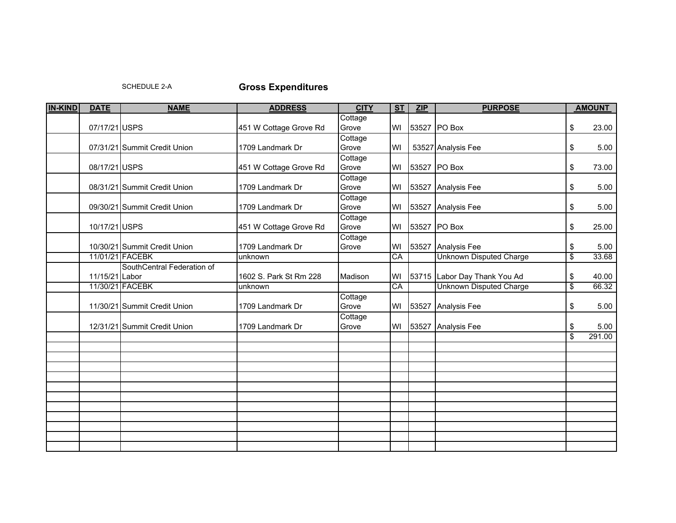SCHEDULE 2-A

## **Gross Expenditures**

| <b>IN-KIND</b> | <b>DATE</b>    | <b>NAME</b>                  | <b>ADDRESS</b>         | <b>CITY</b> | S <sub>T</sub><br>ZIP |       | <b>PURPOSE</b>                 |                          | <b>AMOUNT</b> |  |
|----------------|----------------|------------------------------|------------------------|-------------|-----------------------|-------|--------------------------------|--------------------------|---------------|--|
|                |                |                              |                        | Cottage     |                       |       |                                |                          |               |  |
|                | 07/17/21 USPS  |                              | 451 W Cottage Grove Rd | Grove       | WI                    |       | 53527 PO Box                   | \$                       | 23.00         |  |
|                |                |                              |                        | Cottage     |                       |       |                                |                          |               |  |
|                |                | 07/31/21 Summit Credit Union | 1709 Landmark Dr       | Grove       | WI                    |       | 53527 Analysis Fee             | \$                       | 5.00          |  |
|                |                |                              |                        | Cottage     |                       |       |                                |                          |               |  |
|                | 08/17/21 USPS  |                              | 451 W Cottage Grove Rd | Grove       | WI                    |       | 53527 PO Box                   | \$                       | 73.00         |  |
|                |                |                              |                        | Cottage     |                       |       |                                |                          |               |  |
|                |                | 08/31/21 Summit Credit Union | 1709 Landmark Dr       | Grove       | WI                    |       | 53527 Analysis Fee             | \$                       | 5.00          |  |
|                |                |                              |                        | Cottage     |                       |       |                                |                          |               |  |
|                |                | 09/30/21 Summit Credit Union | 1709 Landmark Dr       | Grove       | WI                    | 53527 | <b>Analysis Fee</b>            | \$                       | 5.00          |  |
|                |                |                              |                        | Cottage     |                       |       |                                |                          |               |  |
|                | 10/17/21 USPS  |                              | 451 W Cottage Grove Rd | Grove       | WI                    |       | 53527 PO Box                   | \$                       | 25.00         |  |
|                |                |                              |                        | Cottage     |                       |       |                                |                          |               |  |
|                |                | 10/30/21 Summit Credit Union | 1709 Landmark Dr       | Grove       | WI                    | 53527 | <b>Analysis Fee</b>            | \$                       | 5.00          |  |
|                |                | 11/01/21 FACEBK              | unknown                |             | CA                    |       | <b>Unknown Disputed Charge</b> | $\overline{\mathcal{S}}$ | 33.68         |  |
|                |                | SouthCentral Federation of   |                        |             |                       |       |                                |                          |               |  |
|                | 11/15/21 Labor |                              | 1602 S. Park St Rm 228 | Madison     | WI                    |       | 53715 Labor Day Thank You Ad   | \$                       | 40.00         |  |
|                |                | 11/30/21 FACEBK              | unknown                |             | CA                    |       | <b>Unknown Disputed Charge</b> | $\overline{\$}$          | 66.32         |  |
|                |                |                              |                        | Cottage     |                       |       |                                |                          |               |  |
|                |                | 11/30/21 Summit Credit Union | 1709 Landmark Dr       | Grove       | WI                    | 53527 | Analysis Fee                   | \$                       | 5.00          |  |
|                |                |                              |                        | Cottage     |                       |       |                                |                          |               |  |
|                |                | 12/31/21 Summit Credit Union | 1709 Landmark Dr       | Grove       | WI                    | 53527 | <b>Analysis Fee</b>            | \$                       | 5.00          |  |
|                |                |                              |                        |             |                       |       |                                | \$                       | 291.00        |  |
|                |                |                              |                        |             |                       |       |                                |                          |               |  |
|                |                |                              |                        |             |                       |       |                                |                          |               |  |
|                |                |                              |                        |             |                       |       |                                |                          |               |  |
|                |                |                              |                        |             |                       |       |                                |                          |               |  |
|                |                |                              |                        |             |                       |       |                                |                          |               |  |
|                |                |                              |                        |             |                       |       |                                |                          |               |  |
|                |                |                              |                        |             |                       |       |                                |                          |               |  |
|                |                |                              |                        |             |                       |       |                                |                          |               |  |
|                |                |                              |                        |             |                       |       |                                |                          |               |  |
|                |                |                              |                        |             |                       |       |                                |                          |               |  |
|                |                |                              |                        |             |                       |       |                                |                          |               |  |